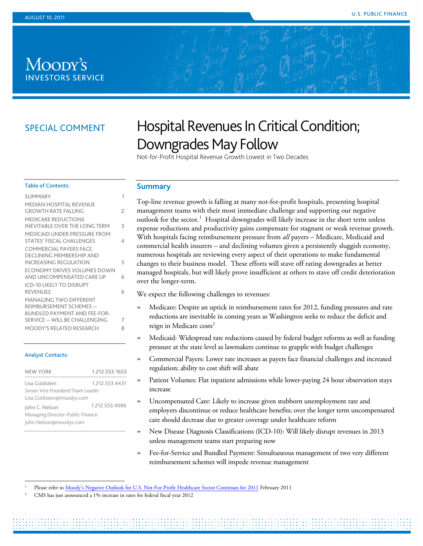# Moody's **ESTORS SERVICE**

# SPECIAL COMMENT

# Hospital Revenues In Critical Condition; Downgrades May Follow

Not-for-Profit Hospital Revenue Growth Lowest in Two Decades

#### Table of Contents:

| <b>SUMMARY</b>                       | 1 |
|--------------------------------------|---|
| <b>MEDIAN HOSPITAL REVENUE</b>       |   |
| <b>GROWTH RATE FALLING</b>           | 2 |
| <b>MEDICARE REDUCTIONS</b>           |   |
| <b>INEVITABLE OVER THE LONG TERM</b> | 3 |
| <b>MEDICAID UNDER PRESSURE FROM</b>  |   |
| <b>STATES' FISCAL CHALLENGES</b>     | 4 |
| <b>COMMERCIAL PAYERS FACE</b>        |   |
| DECLINING MEMBERSHIP AND             |   |
| <b>INCREASING REGULATION</b>         | 5 |
| ECONOMY DRIVES VOLUMES DOWN          |   |
| AND UNCOMPENSATED CARE UP            | 6 |
| <b>ICD-10 LIKELY TO DISRUPT</b>      |   |
| <b>REVENUES</b>                      | 6 |
| <b>MANAGING TWO DIFFERENT</b>        |   |
| <b>REIMBURSEMENT SCHEMES --</b>      |   |
| <b>BUNDLED PAYMENT AND FEE-FOR-</b>  |   |
| SERVICE -- WILL BE CHALLENGING       | 7 |
| MOODY'S RELATED RESEARCH             | 8 |

#### Analyst Contacts:

| <b>NEW YORK</b>                   | 1.212.553.1653 |  |
|-----------------------------------|----------------|--|
| Lisa Goldstein                    | 1.212.553.4431 |  |
| Senior Vice President/Team Leader |                |  |
| Lisa.Goldstein@moodys.com         |                |  |
| John C. Nelson                    | 1.212.553.4096 |  |
| Managing Director-Public Finance  |                |  |
| John.Nelson@moodys.com            |                |  |

#### <span id="page-0-0"></span>**Summary**

Top-line revenue growth is falling at many not-for-profit hospitals, presenting hospital management teams with their most immediate challenge and supporting our negative outlook for the sector.<sup>[1](#page-0-1)</sup> Hospital downgrades will likely increase in the short term unless expense reductions and productivity gains compensate for stagnant or weak revenue growth. With hospitals facing reimbursement pressure from *all* payers – Medicare, Medicaid and commercial health insurers – and declining volumes given a persistently sluggish economy, numerous hospitals are reviewing every aspect of their operations to make fundamental changes to their business model. These efforts will stave off rating downgrades at better managed hospitals, but will likely prove insufficient at others to stave off credit deterioration over the longer-term.

We expect the following challenges to revenues:

- » Medicare: Despite an uptick in reimbursement rates for 2012, funding pressures and rate reductions are inevitable in coming years as Washington seeks to reduce the deficit and reign in Medicare costs<sup>[2](#page-0-2)</sup>
- » Medicaid: Widespread rate reductions caused by federal budget reforms as well as funding pressure at the state level as lawmakers continue to grapple with budget challenges
- » Commercial Payers: Lower rate increases as payers face financial challenges and increased regulation; ability to cost shift will abate
- » Patient Volumes: Flat inpatient admissions while lower-paying 24 hour observation stays increase
- » Uncompensated Care: Likely to increase given stubborn unemployment rate and employers discontinue or reduce healthcare benefits; over the longer term uncompensated care should decrease due to greater coverage under healthcare reform
- » New Disease Diagnosis Classifications (ICD-10): Will likely disrupt revenues in 2013 unless management teams start preparing now
- » Fee-for-Service and Bundled Payment: Simultaneous management of two very different reimbursement schemes will impede revenue management

<span id="page-0-1"></span> <sup>1</sup> Please refer t[o Moody's Negative Outlook for U.S. Not-For-Profit Healthcare Sector Continues for 2011](http://www.moodys.com/research/Moodys-negative-outlook-continues-for-not-for-profit-healthcare-in?lang=en&cy=global&docid=PR_213588) February <sup>2011</sup>

<span id="page-0-2"></span><sup>2</sup> CMS has just announced a 1% increase in rates for federal fiscal year 2012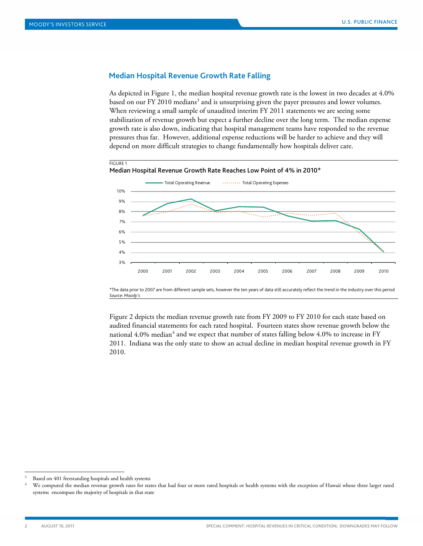#### <span id="page-1-0"></span>**Median Hospital Revenue Growth Rate Falling**

As depicted in Figure 1, the median hospital revenue growth rate is the lowest in two decades at 4.0% based on our FY 2010 medians<sup>[3](#page-1-1)</sup> and is unsurprising given the payer pressures and lower volumes. When reviewing a small sample of unaudited interim FY 2011 statements we are seeing some stabilization of revenue growth but expect a further decline over the long term. The median expense growth rate is also down, indicating that hospital management teams have responded to the revenue pressures thus far. However, additional expense reductions will be harder to achieve and they will depend on more difficult strategies to change fundamentally how hospitals deliver care.



\*The data prior to 2007 are from different sample sets, however the ten years of data still accurately reflect the trend in the industry over this period *Source: Moody's*

Figure 2 depicts the median revenue growth rate from FY 2009 to FY 2010 for each state based on audited financial statements for each rated hospital. Fourteen states show revenue growth below the national 4.0% median<sup>4</sup> and we expect that number of states falling below 4.0% to increase in FY 2011. Indiana was the only state to show an actual decline in median hospital revenue growth in FY 2010.

<span id="page-1-1"></span>Based on 401 freestanding hospitals and health systems

<span id="page-1-2"></span>We computed the median revenue growth rates for states that had four or more rated hospitals or health systems with the exception of Hawaii whose three larger rated systems encompass the majority of hospitals in that state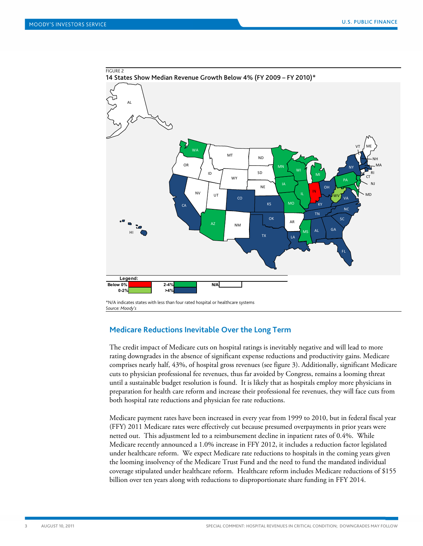

<span id="page-2-0"></span>*Source: Moody's*

#### **Medicare Reductions Inevitable Over the Long Term**

The credit impact of Medicare cuts on hospital ratings is inevitably negative and will lead to more rating downgrades in the absence of significant expense reductions and productivity gains. Medicare comprises nearly half, 43%, of hospital gross revenues (see figure 3). Additionally, significant Medicare cuts to physician professional fee revenues, thus far avoided by Congress, remains a looming threat until a sustainable budget resolution is found. It is likely that as hospitals employ more physicians in preparation for health care reform and increase their professional fee revenues, they will face cuts from both hospital rate reductions and physician fee rate reductions.

Medicare payment rates have been increased in every year from 1999 to 2010, but in federal fiscal year (FFY) 2011 Medicare rates were effectively cut because presumed overpayments in prior years were netted out. This adjustment led to a reimbursement decline in inpatient rates of 0.4%. While Medicare recently announced a 1.0% increase in FFY 2012, it includes a reduction factor legislated under healthcare reform. We expect Medicare rate reductions to hospitals in the coming years given the looming insolvency of the Medicare Trust Fund and the need to fund the mandated individual coverage stipulated under healthcare reform. Healthcare reform includes Medicare reductions of \$155 billion over ten years along with reductions to disproportionate share funding in FFY 2014.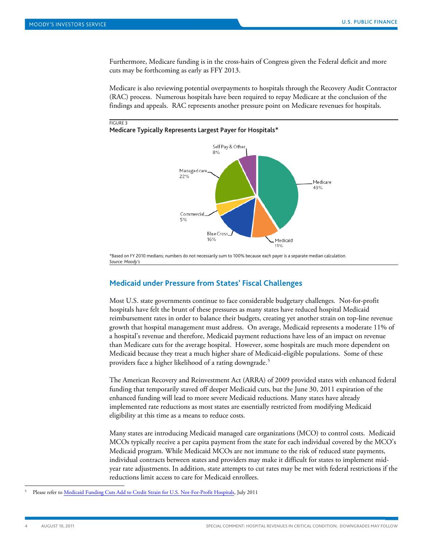FIGURE 3

Furthermore, Medicare funding is in the cross-hairs of Congress given the Federal deficit and more cuts may be forthcoming as early as FFY 2013.

Medicare is also reviewing potential overpayments to hospitals through the Recovery Audit Contractor (RAC) process. Numerous hospitals have been required to repay Medicare at the conclusion of the findings and appeals. RAC represents another pressure point on Medicare revenues for hospitals.

#### Medicare Typically Represents Largest Payer for Hospitals\*



<span id="page-3-0"></span>\*Based on FY 2010 medians; numbers do not necessarily sum to 100% because each payer is a separate median calculation. *Source: Moody's*

#### **Medicaid under Pressure from States' Fiscal Challenges**

Most U.S. state governments continue to face considerable budgetary challenges. Not-for-profit hospitals have felt the brunt of these pressures as many states have reduced hospital Medicaid reimbursement rates in order to balance their budgets, creating yet another strain on top-line revenue growth that hospital management must address. On average, Medicaid represents a moderate 11% of a hospital's revenue and therefore, Medicaid payment reductions have less of an impact on revenue than Medicare cuts for the average hospital. However, some hospitals are much more dependent on Medicaid because they treat a much higher share of Medicaid-eligible populations. Some of these providers face a higher likelihood of a rating downgrade.<sup>[5](#page-3-1)</sup>

The American Recovery and Reinvestment Act (ARRA) of 2009 provided states with enhanced federal funding that temporarily staved off deeper Medicaid cuts, but the June 30, 2011 expiration of the enhanced funding will lead to more severe Medicaid reductions. Many states have already implemented rate reductions as most states are essentially restricted from modifying Medicaid eligibility at this time as a means to reduce costs.

Many states are introducing Medicaid managed care organizations (MCO) to control costs. Medicaid MCOs typically receive a per capita payment from the state for each individual covered by the MCO's Medicaid program. While Medicaid MCOs are not immune to the risk of reduced state payments, individual contracts between states and providers may make it difficult for states to implement midyear rate adjustments. In addition, state attempts to cut rates may be met with federal restrictions if the reductions limit access to care for Medicaid enrollees.

<span id="page-3-1"></span>Please refer t[o Medicaid Funding Cuts Add to Credit Strain for U.S. Not-For-Profit Hospitals,](http://www.moodys.com/viewresearchdoc.aspx?docid=PBM_PBM134594) July 2011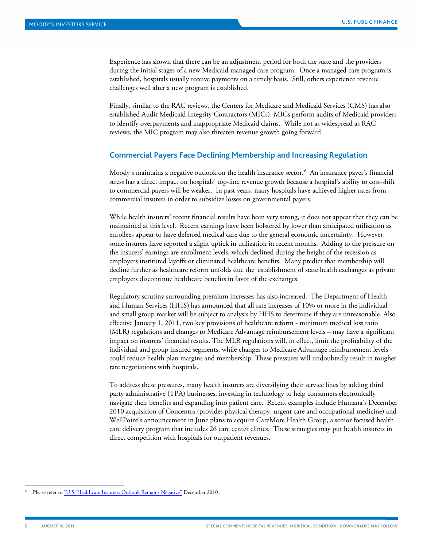Experience has shown that there can be an adjustment period for both the state and the providers during the initial stages of a new Medicaid managed care program. Once a managed care program is established, hospitals usually receive payments on a timely basis. Still, others experience revenue challenges well after a new program is established.

Finally, similar to the RAC reviews, the Centers for Medicare and Medicaid Services (CMS) has also established Audit Medicaid Integrity Contractors (MICs). MICs perform audits of Medicaid providers to identify overpayments and inappropriate Medicaid claims. While not as widespread as RAC reviews, the MIC program may also threaten revenue growth going forward.

#### <span id="page-4-0"></span>**Commercial Payers Face Declining Membership and Increasing Regulation**

Moody's maintains a negative outlook on the health insurance sector. $^6\,$  $^6\,$  $^6\,$  An insurance payer's financial stress has a direct impact on hospitals' top-line revenue growth because a hospital's ability to cost-shift to commercial payers will be weaker. In past years, many hospitals have achieved higher rates from commercial insurers in order to subsidize losses on governmental payers.

While health insurers' recent financial results have been very strong, it does not appear that they can be maintained at this level. Recent earnings have been bolstered by lower than anticipated utilization as enrollees appear to have deferred medical care due to the general economic uncertainty. However, some insurers have reported a slight uptick in utilization in recent months. Adding to the pressure on the insurers' earnings are enrollment levels, which declined during the height of the recession as employers instituted layoffs or eliminated healthcare benefits. Many predict that membership will decline further as healthcare reform unfolds due the establishment of state health exchanges as private employers discontinue healthcare benefits in favor of the exchanges.

Regulatory scrutiny surrounding premium increases has also increased. The Department of Health and Human Services (HHS) has announced that all rate increases of 10% or more in the individual and small group market will be subject to analysis by HHS to determine if they are unreasonable. Also effective January 1, 2011, two key provisions of healthcare reform - minimum medical loss ratio (MLR) regulations and changes to Medicare Advantage reimbursement levels – may have a significant impact on insurers' financial results. The MLR regulations will, in effect, limit the profitability of the individual and group insured segments, while changes to Medicare Advantage reimbursement levels could reduce health plan margins and membership. These pressures will undoubtedly result in tougher rate negotiations with hospitals.

To address these pressures, many health insurers are diversifying their service lines by adding third party administrative (TPA) businesses, investing in technology to help consumers electronically navigate their benefits and expanding into patient care. Recent examples include Humana's December 2010 acquisition of Concentra (provides physical therapy, urgent care and occupational medicine) and WellPoint's announcement in June plans to acquire CareMore Health Group, a senior focused health care delivery program that includes 26 care center clinics. These strategies may put health insurers in direct competition with hospitals for outpatient revenues.

<span id="page-4-1"></span> <sup>6</sup> Please refer t[o "U.S. Healthcare Insurers: Outlook Remains Negative"](http://www.moodys.com/research/US-Healthcare-Insurers-Outlook-Remains-Negative?lang=en&cy=global&docid=PBC_129845) December 2010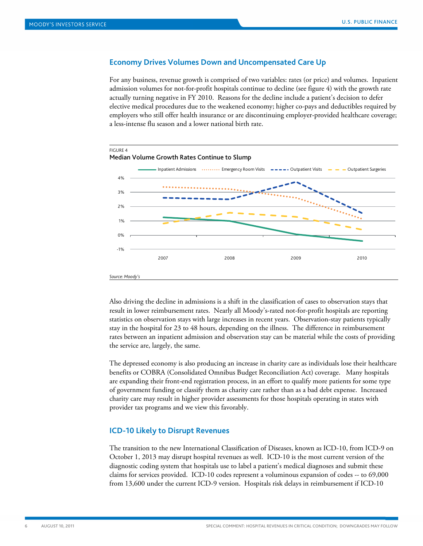#### <span id="page-5-0"></span>**Economy Drives Volumes Down and Uncompensated Care Up**

For any business, revenue growth is comprised of two variables: rates (or price) and volumes. Inpatient admission volumes for not-for-profit hospitals continue to decline (see figure 4) with the growth rate actually turning negative in FY 2010. Reasons for the decline include a patient's decision to defer elective medical procedures due to the weakened economy; higher co-pays and deductibles required by employers who still offer health insurance or are discontinuing employer-provided healthcare coverage; a less-intense flu season and a lower national birth rate.



Also driving the decline in admissions is a shift in the classification of cases to observation stays that result in lower reimbursement rates. Nearly all Moody's-rated not-for-profit hospitals are reporting statistics on observation stays with large increases in recent years. Observation-stay patients typically stay in the hospital for 23 to 48 hours, depending on the illness. The difference in reimbursement rates between an inpatient admission and observation stay can be material while the costs of providing the service are, largely, the same.

The depressed economy is also producing an increase in charity care as individuals lose their healthcare benefits or COBRA (Consolidated Omnibus Budget Reconciliation Act) coverage. Many hospitals are expanding their front-end registration process, in an effort to qualify more patients for some type of government funding or classify them as charity care rather than as a bad debt expense. Increased charity care may result in higher provider assessments for those hospitals operating in states with provider tax programs and we view this favorably.

#### <span id="page-5-1"></span>**ICD-10 Likely to Disrupt Revenues**

The transition to the new International Classification of Diseases, known as ICD-10, from ICD-9 on October 1, 2013 may disrupt hospital revenues as well. ICD-10 is the most current version of the diagnostic coding system that hospitals use to label a patient's medical diagnoses and submit these claims for services provided. ICD-10 codes represent a voluminous expansion of codes -- to 69,000 from 13,600 under the current ICD-9 version. Hospitals risk delays in reimbursement if ICD-10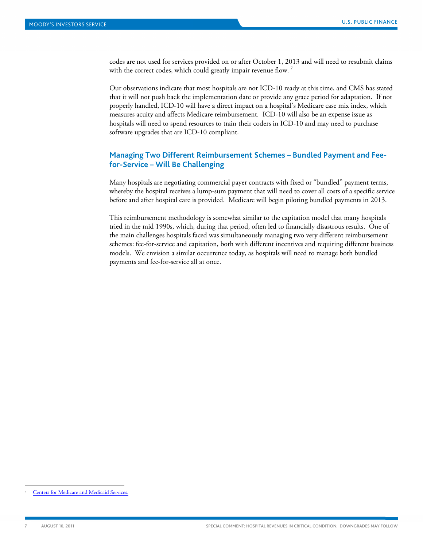codes are not used for services provided on or after October 1, 2013 and will need to resubmit claims with the correct codes, which could greatly impair revenue flow.<sup>[7](#page-6-1)</sup>

Our observations indicate that most hospitals are not ICD-10 ready at this time, and CMS has stated that it will not push back the implementation date or provide any grace period for adaptation. If not properly handled, ICD-10 will have a direct impact on a hospital's Medicare case mix index, which measures acuity and affects Medicare reimbursement. ICD-10 will also be an expense issue as hospitals will need to spend resources to train their coders in ICD-10 and may need to purchase software upgrades that are ICD-10 compliant.

## <span id="page-6-0"></span>**Managing Two Different Reimbursement Schemes – Bundled Payment and Feefor-Service – Will Be Challenging**

Many hospitals are negotiating commercial payer contracts with fixed or "bundled" payment terms, whereby the hospital receives a lump-sum payment that will need to cover all costs of a specific service before and after hospital care is provided. Medicare will begin piloting bundled payments in 2013.

This reimbursement methodology is somewhat similar to the capitation model that many hospitals tried in the mid 1990s, which, during that period, often led to financially disastrous results. One of the main challenges hospitals faced was simultaneously managing two very different reimbursement schemes: fee-for-service and capitation, both with different incentives and requiring different business models. We envision a similar occurrence today, as hospitals will need to manage both bundled payments and fee-for-service all at once.

<span id="page-6-1"></span>[Centers for Medicare and Medicaid Services.](http://www.cms.gov/)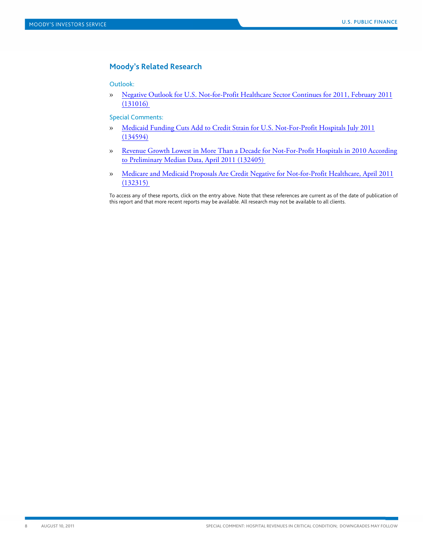### <span id="page-7-0"></span>**Moody's Related Research**

Outlook:

» [Negative Outlook for U.S. Not-for-Profit Healthcare Sector Continues for 2011, February 2011](http://www.moodys.com/viewresearchdoc.aspx?docid=PBM_PBM131016)  [\(131016\)](http://www.moodys.com/viewresearchdoc.aspx?docid=PBM_PBM131016) 

Special Comments:

- » [Medicaid Funding Cuts Add to Credit Strain for U.S. Not-For-Profit Hospitals July 2011](http://www.moodys.com/viewresearchdoc.aspx?docid=PBM_PBM134594)  [\(134594\)](http://www.moodys.com/viewresearchdoc.aspx?docid=PBM_PBM134594)
- » [Revenue Growth Lowest in More Than a Decade for Not-For-Profit Hospitals in 2010 According](http://www.moodys.com/viewresearchdoc.aspx?docid=PBM_PBM132405)  [to Preliminary Median Data, April 2011 \(132405\)](http://www.moodys.com/viewresearchdoc.aspx?docid=PBM_PBM132405)
- » [Medicare and Medicaid Proposals Are Credit Negative for Not-for-Profit Healthcare, April 2011](http://www.moodys.com/viewresearchdoc.aspx?docid=PBM_PBM132315)  [\(132315\)](http://www.moodys.com/viewresearchdoc.aspx?docid=PBM_PBM132315)

To access any of these reports, click on the entry above. Note that these references are current as of the date of publication of this report and that more recent reports may be available. All research may not be available to all clients.